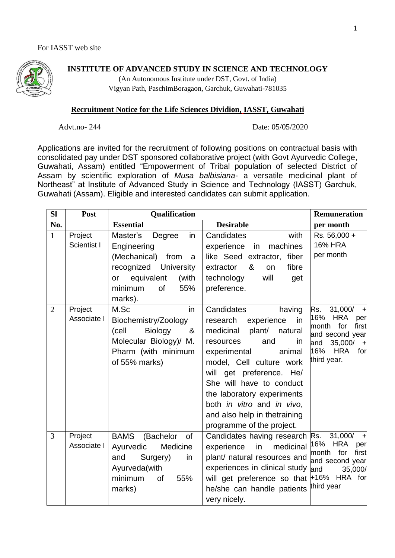

## **INSTITUTE OF ADVANCED STUDY IN SCIENCE AND TECHNOLOGY**

(An Autonomous Institute under DST, Govt. of India) Vigyan Path, PaschimBoragaon, Garchuk, Guwahati-781035

## **Recruitment Notice for the Life Sciences Dividion, IASST, Guwahati**

Advt.no- 244 Date: 05/05/2020

Applications are invited for the recruitment of following positions on contractual basis with consolidated pay under DST sponsored collaborative project (with Govt Ayurvedic College, Guwahati, Assam) entitled "Empowerment of Tribal population of selected District of Assam by scientific exploration of *Musa balbisiana*- a versatile medicinal plant of Northeast" at Institute of Advanced Study in Science and Technology (IASST) Garchuk, Guwahati (Assam). Eligible and interested candidates can submit application.

| SI           | Post                   | Qualification                                                                                                                                              |                                                                                                                                                                                                                                                                                                                                                      | <b>Remuneration</b>                                                                                                                                                       |
|--------------|------------------------|------------------------------------------------------------------------------------------------------------------------------------------------------------|------------------------------------------------------------------------------------------------------------------------------------------------------------------------------------------------------------------------------------------------------------------------------------------------------------------------------------------------------|---------------------------------------------------------------------------------------------------------------------------------------------------------------------------|
| No.          |                        | <b>Essential</b>                                                                                                                                           | <b>Desirable</b>                                                                                                                                                                                                                                                                                                                                     | per month                                                                                                                                                                 |
| $\mathbf{1}$ | Project<br>Scientist I | Master's<br>in<br>Degree<br>Engineering<br>(Mechanical) from<br>a<br>recognized University<br>equivalent<br>(with<br>or<br>55%<br>minimum<br>of<br>marks). | Candidates<br>with<br>machines<br>experience<br>in<br>like Seed extractor, fiber<br>&<br>fibre<br>extractor<br>on<br>will<br>technology<br>get<br>preference.                                                                                                                                                                                        | Rs. 56,000 +<br><b>16% HRA</b><br>per month                                                                                                                               |
| 2            | Project<br>Associate I | in<br>M.Sc<br>Biochemistry/Zoology<br>(cell<br><b>Biology</b><br>&<br>Molecular Biology)/ M.<br>Pharm (with minimum<br>of 55% marks)                       | Candidates<br>having<br>research<br>experience<br>in<br>medicinal<br>plant/ natural<br>and<br>in<br>resources<br>experimental<br>animal<br>model, Cell culture work<br>will get preference. He/<br>She will have to conduct<br>the laboratory experiments<br>both in vitro and in vivo,<br>and also help in thetraining<br>programme of the project. | 31,000/<br>Rs.<br>$\pm$<br>16%<br><b>HRA</b><br>per<br>month for<br>first<br>and second year<br>35,000/<br>and<br>$\mathbf{H}$<br>16%<br><b>HRA</b><br>for<br>third year. |
| 3            | Project<br>Associate I | <b>BAMS</b><br>(Bachelor<br>of<br>Ayurvedic<br>Medicine<br>Surgery)<br>and<br>in<br>Ayurveda(with<br>minimum<br>of<br>55%<br>marks)                        | Candidates having research Rs.<br>in<br>medicinal<br>experience<br>plant/ natural resources and<br>experiences in clinical study<br>will get preference so that +16% HRA for<br>he/she can handle patients<br>very nicely.                                                                                                                           | 31,000/<br>$\pm$<br>16%<br><b>HRA</b><br>per<br>month<br>first<br>for<br>and second year<br>and<br>35,000/<br>third year                                                  |